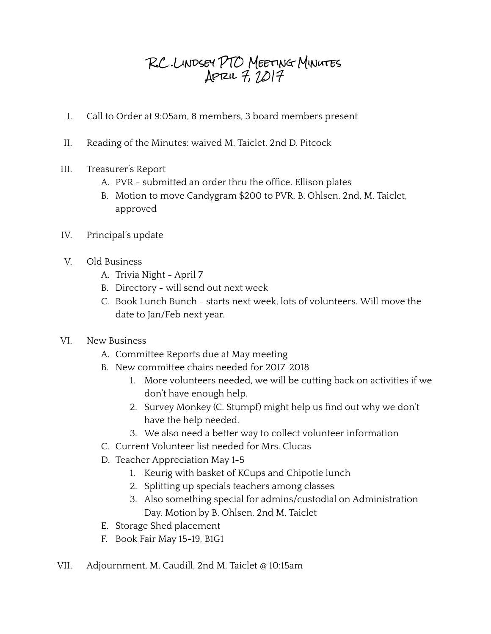## R.C .Lindsey PTO Meeting Minutes  $\text{APRLU}$  7,  $\text{/} \text{/} \text{/} \text{/} \text{/}$

- I. Call to Order at 9:05am, 8 members, 3 board members present
- II. Reading of the Minutes: waived M. Taiclet. 2nd D. Pitcock
- III. Treasurer's Report
	- A. PVR submitted an order thru the office. Ellison plates
	- B. Motion to move Candygram \$200 to PVR, B. Ohlsen. 2nd, M. Taiclet, approved
- IV. Principal's update
- V. Old Business
	- A. Trivia Night April 7
	- B. Directory will send out next week
	- C. Book Lunch Bunch starts next week, lots of volunteers. Will move the date to Jan/Feb next year.
- VI. New Business
	- A. Committee Reports due at May meeting
	- B. New committee chairs needed for 2017-2018
		- 1. More volunteers needed, we will be cutting back on activities if we don't have enough help.
		- 2. Survey Monkey (C. Stumpf) might help us find out why we don't have the help needed.
		- 3. We also need a better way to collect volunteer information
	- C. Current Volunteer list needed for Mrs. Clucas
	- D. Teacher Appreciation May 1-5
		- 1. Keurig with basket of KCups and Chipotle lunch
		- 2. Splitting up specials teachers among classes
		- 3. Also something special for admins/custodial on Administration Day. Motion by B. Ohlsen, 2nd M. Taiclet
	- E. Storage Shed placement
	- F. Book Fair May 15-19, B1G1
- VII. Adjournment, M. Caudill, 2nd M. Taiclet @ 10:15am